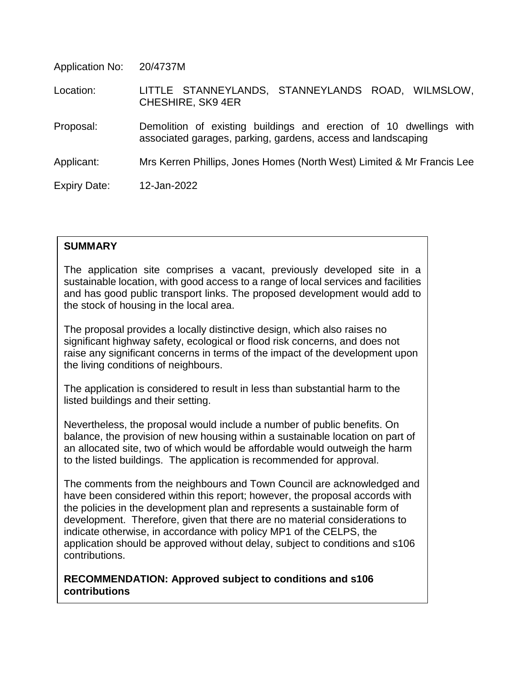Application No: 20/4737M

 Location: LITTLE STANNEYLANDS, STANNEYLANDS ROAD, WILMSLOW, CHESHIRE, SK9 4ER

 Proposal: Demolition of existing buildings and erection of 10 dwellings with associated garages, parking, gardens, access and landscaping

Applicant: Mrs Kerren Phillips, Jones Homes (North West) Limited & Mr Francis Lee

Expiry Date: 12-Jan-2022

## **SUMMARY**

The application site comprises a vacant, previously developed site in a sustainable location, with good access to a range of local services and facilities and has good public transport links. The proposed development would add to the stock of housing in the local area.

The proposal provides a locally distinctive design, which also raises no significant highway safety, ecological or flood risk concerns, and does not raise any significant concerns in terms of the impact of the development upon the living conditions of neighbours.

The application is considered to result in less than substantial harm to the listed buildings and their setting.

Nevertheless, the proposal would include a number of public benefits. On balance, the provision of new housing within a sustainable location on part of an allocated site, two of which would be affordable would outweigh the harm to the listed buildings. The application is recommended for approval.

The comments from the neighbours and Town Council are acknowledged and have been considered within this report; however, the proposal accords with the policies in the development plan and represents a sustainable form of development. Therefore, given that there are no material considerations to indicate otherwise, in accordance with policy MP1 of the CELPS, the application should be approved without delay, subject to conditions and s106 contributions.

**RECOMMENDATION: Approved subject to conditions and s106 contributions**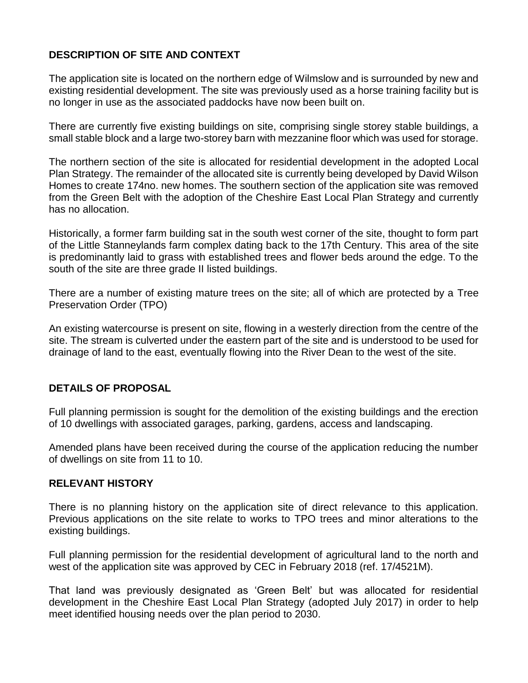## **DESCRIPTION OF SITE AND CONTEXT**

The application site is located on the northern edge of Wilmslow and is surrounded by new and existing residential development. The site was previously used as a horse training facility but is no longer in use as the associated paddocks have now been built on.

There are currently five existing buildings on site, comprising single storey stable buildings, a small stable block and a large two-storey barn with mezzanine floor which was used for storage.

The northern section of the site is allocated for residential development in the adopted Local Plan Strategy. The remainder of the allocated site is currently being developed by David Wilson Homes to create 174no. new homes. The southern section of the application site was removed from the Green Belt with the adoption of the Cheshire East Local Plan Strategy and currently has no allocation.

Historically, a former farm building sat in the south west corner of the site, thought to form part of the Little Stanneylands farm complex dating back to the 17th Century. This area of the site is predominantly laid to grass with established trees and flower beds around the edge. To the south of the site are three grade II listed buildings.

There are a number of existing mature trees on the site; all of which are protected by a Tree Preservation Order (TPO)

An existing watercourse is present on site, flowing in a westerly direction from the centre of the site. The stream is culverted under the eastern part of the site and is understood to be used for drainage of land to the east, eventually flowing into the River Dean to the west of the site.

## **DETAILS OF PROPOSAL**

Full planning permission is sought for the demolition of the existing buildings and the erection of 10 dwellings with associated garages, parking, gardens, access and landscaping.

Amended plans have been received during the course of the application reducing the number of dwellings on site from 11 to 10.

## **RELEVANT HISTORY**

There is no planning history on the application site of direct relevance to this application. Previous applications on the site relate to works to TPO trees and minor alterations to the existing buildings.

Full planning permission for the residential development of agricultural land to the north and west of the application site was approved by CEC in February 2018 (ref. 17/4521M).

That land was previously designated as 'Green Belt' but was allocated for residential development in the Cheshire East Local Plan Strategy (adopted July 2017) in order to help meet identified housing needs over the plan period to 2030.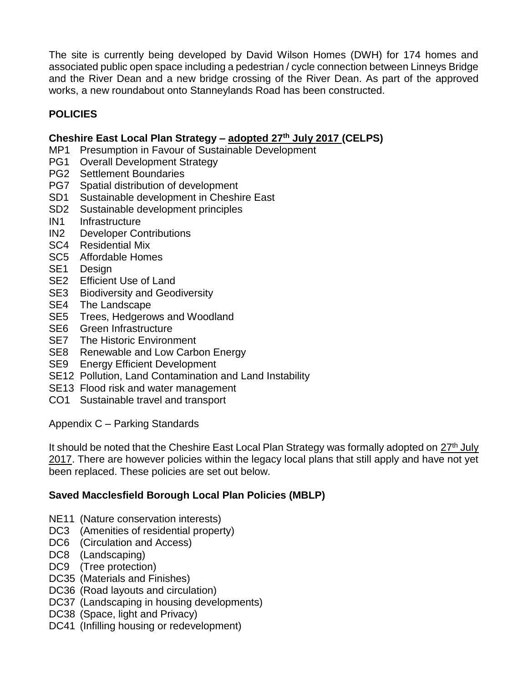The site is currently being developed by David Wilson Homes (DWH) for 174 homes and associated public open space including a pedestrian / cycle connection between Linneys Bridge and the River Dean and a new bridge crossing of the River Dean. As part of the approved works, a new roundabout onto Stanneylands Road has been constructed.

# **POLICIES**

## **Cheshire East Local Plan Strategy – adopted 27th July 2017 (CELPS)**

- MP1 Presumption in Favour of Sustainable Development
- PG1 Overall Development Strategy
- PG2 Settlement Boundaries
- PG7 Spatial distribution of development
- SD1 Sustainable development in Cheshire East
- SD2 Sustainable development principles
- IN1 Infrastructure
- IN2 Developer Contributions
- SC4 Residential Mix
- SC5 Affordable Homes
- SE1 Design
- SE2 Efficient Use of Land
- SE3 Biodiversity and Geodiversity
- SE4 The Landscape
- SE5 Trees, Hedgerows and Woodland
- SE6 Green Infrastructure
- SE7 The Historic Environment
- SE8 Renewable and Low Carbon Energy
- SE9 Energy Efficient Development
- SE12 Pollution, Land Contamination and Land Instability
- SE13 Flood risk and water management
- CO1 Sustainable travel and transport

Appendix C – Parking Standards

It should be noted that the Cheshire East Local Plan Strategy was formally adopted on 27<sup>th</sup> July 2017. There are however policies within the legacy local plans that still apply and have not yet been replaced. These policies are set out below.

## **Saved Macclesfield Borough Local Plan Policies (MBLP)**

- NE11 (Nature conservation interests)
- DC3 (Amenities of residential property)
- DC6 (Circulation and Access)
- DC8 (Landscaping)
- DC9 (Tree protection)
- DC35 (Materials and Finishes)
- DC36 (Road layouts and circulation)
- DC37 (Landscaping in housing developments)
- DC38 (Space, light and Privacy)
- DC41 (Infilling housing or redevelopment)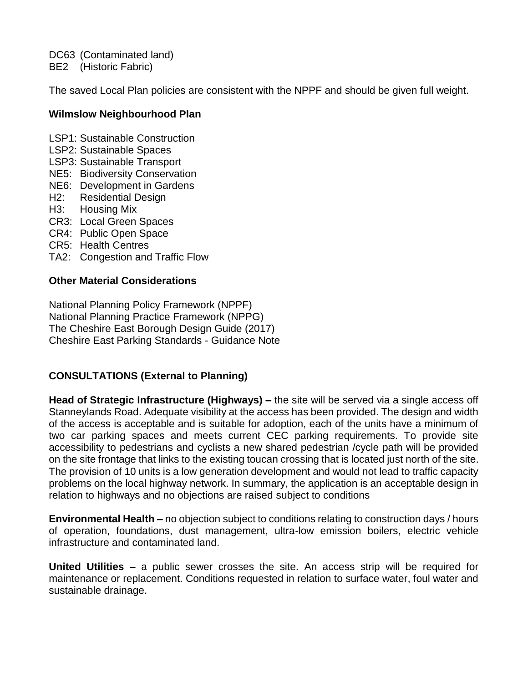DC63 (Contaminated land) BE2 (Historic Fabric)

The saved Local Plan policies are consistent with the NPPF and should be given full weight.

## **Wilmslow Neighbourhood Plan**

LSP1: Sustainable Construction

- LSP2: Sustainable Spaces
- LSP3: Sustainable Transport
- NE5: Biodiversity Conservation
- NE6: Development in Gardens
- H2: Residential Design
- H3: Housing Mix
- CR3: Local Green Spaces
- CR4: Public Open Space
- CR5: Health Centres
- TA2: Congestion and Traffic Flow

## **Other Material Considerations**

National Planning Policy Framework (NPPF) National Planning Practice Framework (NPPG) The Cheshire East Borough Design Guide (2017) Cheshire East Parking Standards - Guidance Note

## **CONSULTATIONS (External to Planning)**

**Head of Strategic Infrastructure (Highways) –** the site will be served via a single access off Stanneylands Road. Adequate visibility at the access has been provided. The design and width of the access is acceptable and is suitable for adoption, each of the units have a minimum of two car parking spaces and meets current CEC parking requirements. To provide site accessibility to pedestrians and cyclists a new shared pedestrian /cycle path will be provided on the site frontage that links to the existing toucan crossing that is located just north of the site. The provision of 10 units is a low generation development and would not lead to traffic capacity problems on the local highway network. In summary, the application is an acceptable design in relation to highways and no objections are raised subject to conditions

**Environmental Health –** no objection subject to conditions relating to construction days / hours of operation, foundations, dust management, ultra-low emission boilers, electric vehicle infrastructure and contaminated land.

**United Utilities –** a public sewer crosses the site. An access strip will be required for maintenance or replacement. Conditions requested in relation to surface water, foul water and sustainable drainage.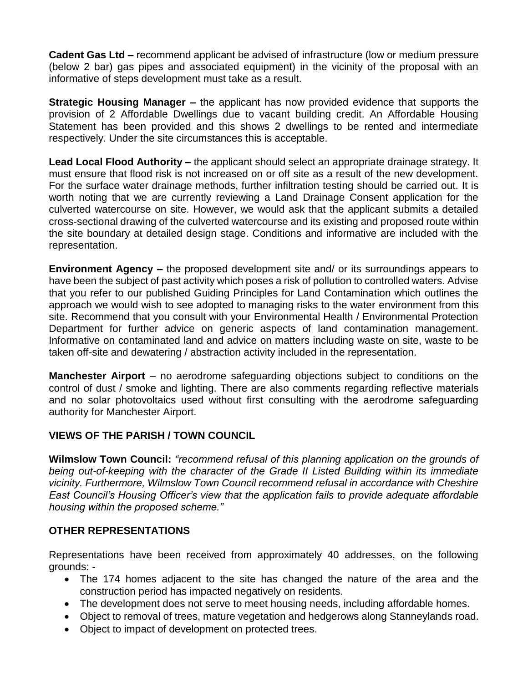**Cadent Gas Ltd –** recommend applicant be advised of infrastructure (low or medium pressure (below 2 bar) gas pipes and associated equipment) in the vicinity of the proposal with an informative of steps development must take as a result.

**Strategic Housing Manager –** the applicant has now provided evidence that supports the provision of 2 Affordable Dwellings due to vacant building credit. An Affordable Housing Statement has been provided and this shows 2 dwellings to be rented and intermediate respectively. Under the site circumstances this is acceptable.

**Lead Local Flood Authority –** the applicant should select an appropriate drainage strategy. It must ensure that flood risk is not increased on or off site as a result of the new development. For the surface water drainage methods, further infiltration testing should be carried out. It is worth noting that we are currently reviewing a Land Drainage Consent application for the culverted watercourse on site. However, we would ask that the applicant submits a detailed cross-sectional drawing of the culverted watercourse and its existing and proposed route within the site boundary at detailed design stage. Conditions and informative are included with the representation.

**Environment Agency –** the proposed development site and/ or its surroundings appears to have been the subject of past activity which poses a risk of pollution to controlled waters. Advise that you refer to our published Guiding Principles for Land Contamination which outlines the approach we would wish to see adopted to managing risks to the water environment from this site. Recommend that you consult with your Environmental Health / Environmental Protection Department for further advice on generic aspects of land contamination management. Informative on contaminated land and advice on matters including waste on site, waste to be taken off-site and dewatering / abstraction activity included in the representation.

**Manchester Airport** – no aerodrome safeguarding objections subject to conditions on the control of dust / smoke and lighting. There are also comments regarding reflective materials and no solar photovoltaics used without first consulting with the aerodrome safeguarding authority for Manchester Airport.

## **VIEWS OF THE PARISH / TOWN COUNCIL**

**Wilmslow Town Council:** *"recommend refusal of this planning application on the grounds of being out-of-keeping with the character of the Grade II Listed Building within its immediate vicinity. Furthermore, Wilmslow Town Council recommend refusal in accordance with Cheshire East Council's Housing Officer's view that the application fails to provide adequate affordable housing within the proposed scheme."*

## **OTHER REPRESENTATIONS**

Representations have been received from approximately 40 addresses, on the following grounds: -

- The 174 homes adjacent to the site has changed the nature of the area and the construction period has impacted negatively on residents.
- The development does not serve to meet housing needs, including affordable homes.
- Object to removal of trees, mature vegetation and hedgerows along Stanneylands road.
- Object to impact of development on protected trees.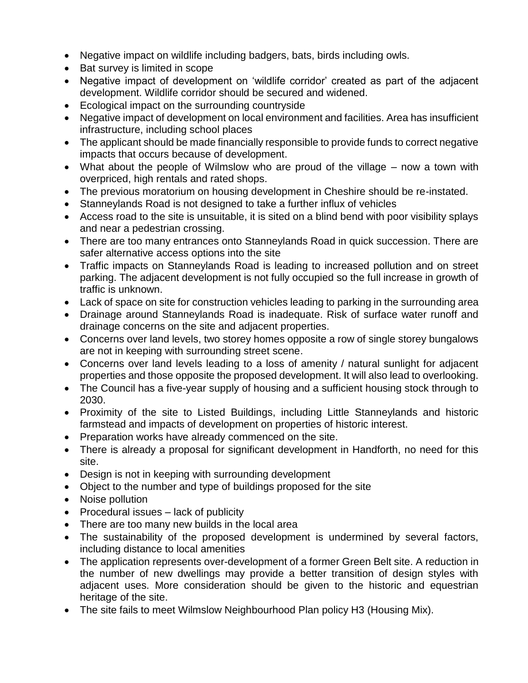- Negative impact on wildlife including badgers, bats, birds including owls.
- Bat survey is limited in scope
- Negative impact of development on 'wildlife corridor' created as part of the adjacent development. Wildlife corridor should be secured and widened.
- Ecological impact on the surrounding countryside
- Negative impact of development on local environment and facilities. Area has insufficient infrastructure, including school places
- The applicant should be made financially responsible to provide funds to correct negative impacts that occurs because of development.
- What about the people of Wilmslow who are proud of the village now a town with overpriced, high rentals and rated shops.
- The previous moratorium on housing development in Cheshire should be re-instated.
- Stanneylands Road is not designed to take a further influx of vehicles
- Access road to the site is unsuitable, it is sited on a blind bend with poor visibility splays and near a pedestrian crossing.
- There are too many entrances onto Stanneylands Road in quick succession. There are safer alternative access options into the site
- Traffic impacts on Stanneylands Road is leading to increased pollution and on street parking. The adjacent development is not fully occupied so the full increase in growth of traffic is unknown.
- Lack of space on site for construction vehicles leading to parking in the surrounding area
- Drainage around Stanneylands Road is inadequate. Risk of surface water runoff and drainage concerns on the site and adjacent properties.
- Concerns over land levels, two storey homes opposite a row of single storey bungalows are not in keeping with surrounding street scene.
- Concerns over land levels leading to a loss of amenity / natural sunlight for adjacent properties and those opposite the proposed development. It will also lead to overlooking.
- The Council has a five-year supply of housing and a sufficient housing stock through to 2030.
- Proximity of the site to Listed Buildings, including Little Stanneylands and historic farmstead and impacts of development on properties of historic interest.
- Preparation works have already commenced on the site.
- There is already a proposal for significant development in Handforth, no need for this site.
- Design is not in keeping with surrounding development
- Object to the number and type of buildings proposed for the site
- Noise pollution
- Procedural issues lack of publicity
- There are too many new builds in the local area
- The sustainability of the proposed development is undermined by several factors, including distance to local amenities
- The application represents over-development of a former Green Belt site. A reduction in the number of new dwellings may provide a better transition of design styles with adjacent uses. More consideration should be given to the historic and equestrian heritage of the site.
- The site fails to meet Wilmslow Neighbourhood Plan policy H3 (Housing Mix).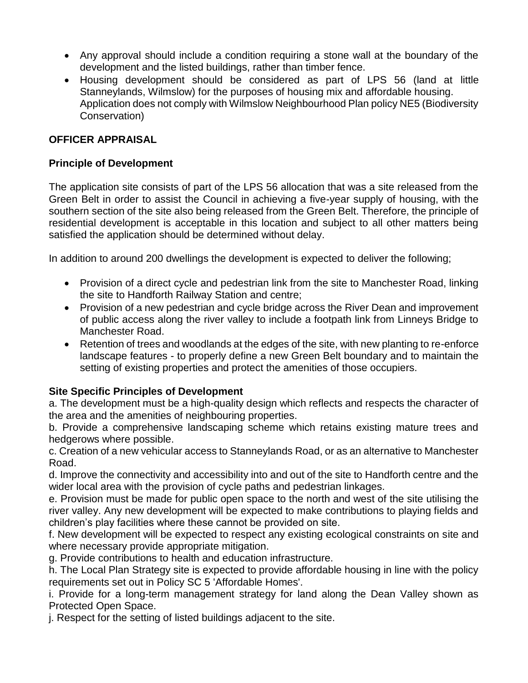- Any approval should include a condition requiring a stone wall at the boundary of the development and the listed buildings, rather than timber fence.
- Housing development should be considered as part of LPS 56 (land at little Stanneylands, Wilmslow) for the purposes of housing mix and affordable housing. Application does not comply with Wilmslow Neighbourhood Plan policy NE5 (Biodiversity Conservation)

## **OFFICER APPRAISAL**

## **Principle of Development**

The application site consists of part of the LPS 56 allocation that was a site released from the Green Belt in order to assist the Council in achieving a five-year supply of housing, with the southern section of the site also being released from the Green Belt. Therefore, the principle of residential development is acceptable in this location and subject to all other matters being satisfied the application should be determined without delay.

In addition to around 200 dwellings the development is expected to deliver the following;

- Provision of a direct cycle and pedestrian link from the site to Manchester Road, linking the site to Handforth Railway Station and centre;
- Provision of a new pedestrian and cycle bridge across the River Dean and improvement of public access along the river valley to include a footpath link from Linneys Bridge to Manchester Road.
- Retention of trees and woodlands at the edges of the site, with new planting to re-enforce landscape features - to properly define a new Green Belt boundary and to maintain the setting of existing properties and protect the amenities of those occupiers.

## **Site Specific Principles of Development**

a. The development must be a high-quality design which reflects and respects the character of the area and the amenities of neighbouring properties.

b. Provide a comprehensive landscaping scheme which retains existing mature trees and hedgerows where possible.

c. Creation of a new vehicular access to Stanneylands Road, or as an alternative to Manchester Road.

d. Improve the connectivity and accessibility into and out of the site to Handforth centre and the wider local area with the provision of cycle paths and pedestrian linkages.

e. Provision must be made for public open space to the north and west of the site utilising the river valley. Any new development will be expected to make contributions to playing fields and children's play facilities where these cannot be provided on site.

f. New development will be expected to respect any existing ecological constraints on site and where necessary provide appropriate mitigation.

g. Provide contributions to health and education infrastructure.

h. The Local Plan Strategy site is expected to provide affordable housing in line with the policy requirements set out in Policy SC 5 'Affordable Homes'.

i. Provide for a long-term management strategy for land along the Dean Valley shown as Protected Open Space.

j. Respect for the setting of listed buildings adjacent to the site.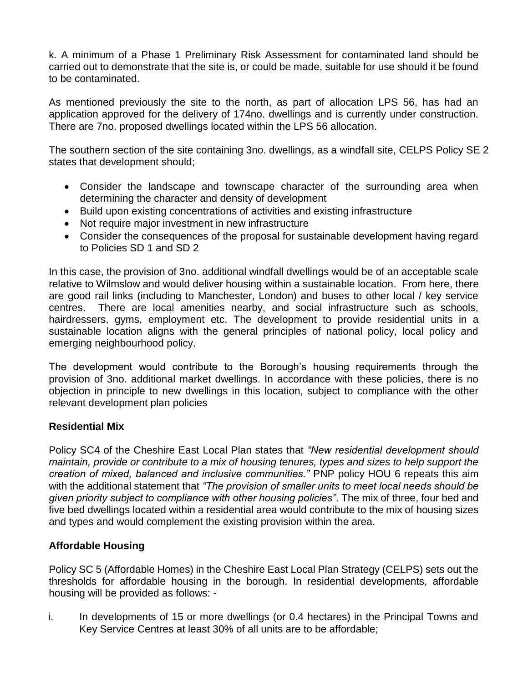k. A minimum of a Phase 1 Preliminary Risk Assessment for contaminated land should be carried out to demonstrate that the site is, or could be made, suitable for use should it be found to be contaminated.

As mentioned previously the site to the north, as part of allocation LPS 56, has had an application approved for the delivery of 174no. dwellings and is currently under construction. There are 7no. proposed dwellings located within the LPS 56 allocation.

The southern section of the site containing 3no. dwellings, as a windfall site, CELPS Policy SE 2 states that development should;

- Consider the landscape and townscape character of the surrounding area when determining the character and density of development
- Build upon existing concentrations of activities and existing infrastructure
- Not require major investment in new infrastructure
- Consider the consequences of the proposal for sustainable development having regard to Policies SD 1 and SD 2

In this case, the provision of 3no. additional windfall dwellings would be of an acceptable scale relative to Wilmslow and would deliver housing within a sustainable location. From here, there are good rail links (including to Manchester, London) and buses to other local / key service centres. There are local amenities nearby, and social infrastructure such as schools, hairdressers, gyms, employment etc. The development to provide residential units in a sustainable location aligns with the general principles of national policy, local policy and emerging neighbourhood policy.

The development would contribute to the Borough's housing requirements through the provision of 3no. additional market dwellings. In accordance with these policies, there is no objection in principle to new dwellings in this location, subject to compliance with the other relevant development plan policies

## **Residential Mix**

Policy SC4 of the Cheshire East Local Plan states that *"New residential development should maintain, provide or contribute to a mix of housing tenures, types and sizes to help support the creation of mixed, balanced and inclusive communities."* PNP policy HOU 6 repeats this aim with the additional statement that *"The provision of smaller units to meet local needs should be given priority subject to compliance with other housing policies"*. The mix of three, four bed and five bed dwellings located within a residential area would contribute to the mix of housing sizes and types and would complement the existing provision within the area.

## **Affordable Housing**

Policy SC 5 (Affordable Homes) in the Cheshire East Local Plan Strategy (CELPS) sets out the thresholds for affordable housing in the borough. In residential developments, affordable housing will be provided as follows: -

i. In developments of 15 or more dwellings (or 0.4 hectares) in the Principal Towns and Key Service Centres at least 30% of all units are to be affordable;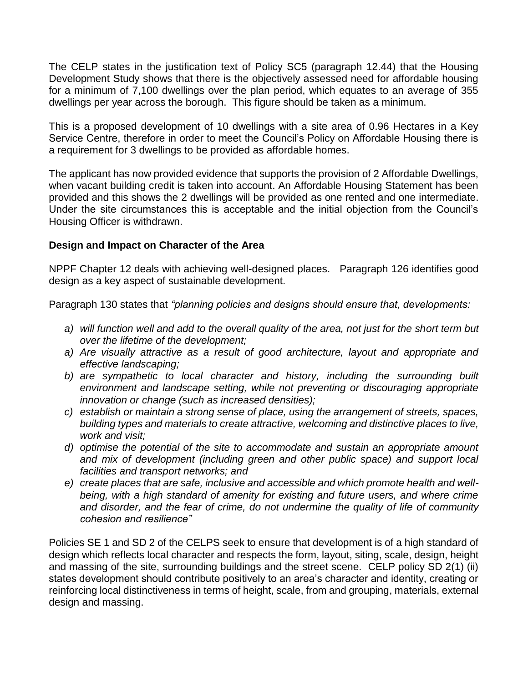The CELP states in the justification text of Policy SC5 (paragraph 12.44) that the Housing Development Study shows that there is the objectively assessed need for affordable housing for a minimum of 7,100 dwellings over the plan period, which equates to an average of 355 dwellings per year across the borough. This figure should be taken as a minimum.

This is a proposed development of 10 dwellings with a site area of 0.96 Hectares in a Key Service Centre, therefore in order to meet the Council's Policy on Affordable Housing there is a requirement for 3 dwellings to be provided as affordable homes.

The applicant has now provided evidence that supports the provision of 2 Affordable Dwellings, when vacant building credit is taken into account. An Affordable Housing Statement has been provided and this shows the 2 dwellings will be provided as one rented and one intermediate. Under the site circumstances this is acceptable and the initial objection from the Council's Housing Officer is withdrawn.

## **Design and Impact on Character of the Area**

NPPF Chapter 12 deals with achieving well-designed places. Paragraph 126 identifies good design as a key aspect of sustainable development.

Paragraph 130 states that *"planning policies and designs should ensure that, developments:* 

- *a) will function well and add to the overall quality of the area, not just for the short term but over the lifetime of the development;*
- *a) Are visually attractive as a result of good architecture, layout and appropriate and effective landscaping;*
- *b) are sympathetic to local character and history, including the surrounding built environment and landscape setting, while not preventing or discouraging appropriate innovation or change (such as increased densities);*
- *c) establish or maintain a strong sense of place, using the arrangement of streets, spaces, building types and materials to create attractive, welcoming and distinctive places to live, work and visit;*
- *d) optimise the potential of the site to accommodate and sustain an appropriate amount*  and mix of development (including green and other public space) and support local *facilities and transport networks; and*
- *e) create places that are safe, inclusive and accessible and which promote health and wellbeing, with a high standard of amenity for existing and future users, and where crime and disorder, and the fear of crime, do not undermine the quality of life of community cohesion and resilience"*

Policies SE 1 and SD 2 of the CELPS seek to ensure that development is of a high standard of design which reflects local character and respects the form, layout, siting, scale, design, height and massing of the site, surrounding buildings and the street scene. CELP policy SD 2(1) (ii) states development should contribute positively to an area's character and identity, creating or reinforcing local distinctiveness in terms of height, scale, from and grouping, materials, external design and massing.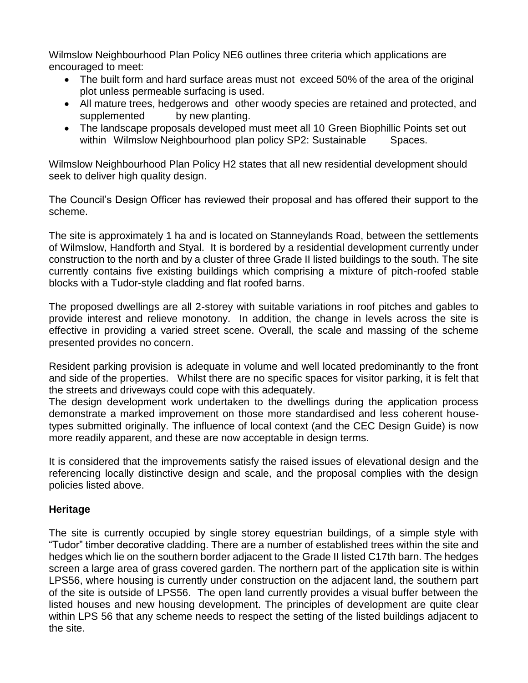Wilmslow Neighbourhood Plan Policy NE6 outlines three criteria which applications are encouraged to meet:

- The built form and hard surface areas must not exceed 50% of the area of the original plot unless permeable surfacing is used.
- All mature trees, hedgerows and other woody species are retained and protected, and supplemented by new planting.
- The landscape proposals developed must meet all 10 Green Biophillic Points set out within Wilmslow Neighbourhood plan policy SP2: Sustainable Spaces.

Wilmslow Neighbourhood Plan Policy H2 states that all new residential development should seek to deliver high quality design.

The Council's Design Officer has reviewed their proposal and has offered their support to the scheme.

The site is approximately 1 ha and is located on Stanneylands Road, between the settlements of Wilmslow, Handforth and Styal. It is bordered by a residential development currently under construction to the north and by a cluster of three Grade II listed buildings to the south. The site currently contains five existing buildings which comprising a mixture of pitch-roofed stable blocks with a Tudor-style cladding and flat roofed barns.

The proposed dwellings are all 2-storey with suitable variations in roof pitches and gables to provide interest and relieve monotony. In addition, the change in levels across the site is effective in providing a varied street scene. Overall, the scale and massing of the scheme presented provides no concern.

Resident parking provision is adequate in volume and well located predominantly to the front and side of the properties. Whilst there are no specific spaces for visitor parking, it is felt that the streets and driveways could cope with this adequately.

The design development work undertaken to the dwellings during the application process demonstrate a marked improvement on those more standardised and less coherent housetypes submitted originally. The influence of local context (and the CEC Design Guide) is now more readily apparent, and these are now acceptable in design terms.

It is considered that the improvements satisfy the raised issues of elevational design and the referencing locally distinctive design and scale, and the proposal complies with the design policies listed above.

## **Heritage**

The site is currently occupied by single storey equestrian buildings, of a simple style with "Tudor" timber decorative cladding. There are a number of established trees within the site and hedges which lie on the southern border adjacent to the Grade II listed C17th barn. The hedges screen a large area of grass covered garden. The northern part of the application site is within LPS56, where housing is currently under construction on the adjacent land, the southern part of the site is outside of LPS56. The open land currently provides a visual buffer between the listed houses and new housing development. The principles of development are quite clear within LPS 56 that any scheme needs to respect the setting of the listed buildings adjacent to the site.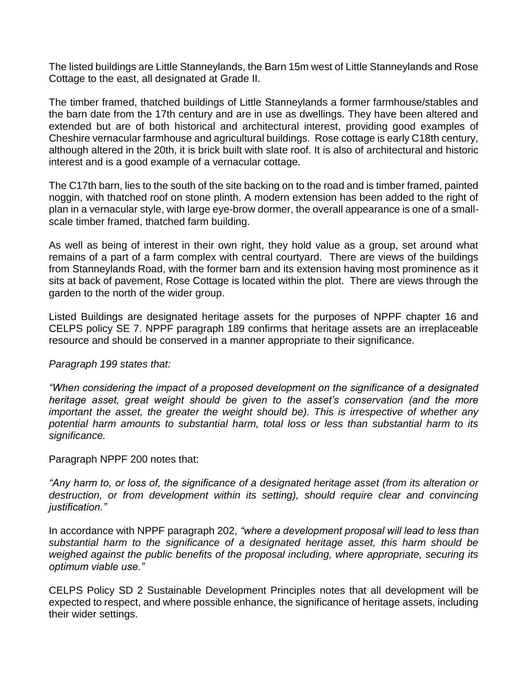The listed buildings are Little Stanneylands, the Barn 15m west of Little Stanneylands and Rose Cottage to the east, all designated at Grade II.

The timber framed, thatched buildings of Little Stanneylands a former farmhouse/stables and the barn date from the 17th century and are in use as dwellings. They have been altered and extended but are of both historical and architectural interest, providing good examples of Cheshire vernacular farmhouse and agricultural buildings. Rose cottage is early C18th century, although altered in the 20th, it is brick built with slate roof. It is also of architectural and historic interest and is a good example of a vernacular cottage.

The C17th barn, lies to the south of the site backing on to the road and is timber framed, painted noggin, with thatched roof on stone plinth. A modern extension has been added to the right of plan in a vernacular style, with large eye-brow dormer, the overall appearance is one of a smallscale timber framed, thatched farm building.

As well as being of interest in their own right, they hold value as a group, set around what remains of a part of a farm complex with central courtyard. There are views of the buildings from Stanneylands Road, with the former barn and its extension having most prominence as it sits at back of pavement, Rose Cottage is located within the plot. There are views through the garden to the north of the wider group.

Listed Buildings are designated heritage assets for the purposes of NPPF chapter 16 and CELPS policy SE 7. NPPF paragraph 189 confirms that heritage assets are an irreplaceable resource and should be conserved in a manner appropriate to their significance.

#### *Paragraph 199 states that:*

*"When considering the impact of a proposed development on the significance of a designated heritage asset, great weight should be given to the asset's conservation (and the more important the asset, the greater the weight should be). This is irrespective of whether any potential harm amounts to substantial harm, total loss or less than substantial harm to its significance.*

Paragraph NPPF 200 notes that:

*"Any harm to, or loss of, the significance of a designated heritage asset (from its alteration or*  destruction, or from development within its setting), should require clear and convincing *justification."*

In accordance with NPPF paragraph 202, *"where a development proposal will lead to less than substantial harm to the significance of a designated heritage asset, this harm should be weighed against the public benefits of the proposal including, where appropriate, securing its optimum viable use."*

CELPS Policy SD 2 Sustainable Development Principles notes that all development will be expected to respect, and where possible enhance, the significance of heritage assets, including their wider settings.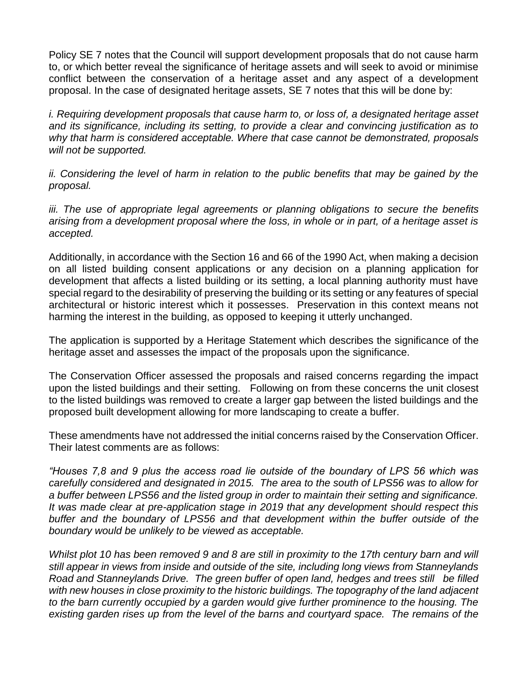Policy SE 7 notes that the Council will support development proposals that do not cause harm to, or which better reveal the significance of heritage assets and will seek to avoid or minimise conflict between the conservation of a heritage asset and any aspect of a development proposal. In the case of designated heritage assets, SE 7 notes that this will be done by:

*i. Requiring development proposals that cause harm to, or loss of, a designated heritage asset and its significance, including its setting, to provide a clear and convincing justification as to why that harm is considered acceptable. Where that case cannot be demonstrated, proposals will not be supported.*

*ii. Considering the level of harm in relation to the public benefits that may be gained by the proposal.*

*iii. The use of appropriate legal agreements or planning obligations to secure the benefits arising from a development proposal where the loss, in whole or in part, of a heritage asset is accepted.*

Additionally, in accordance with the Section 16 and 66 of the 1990 Act, when making a decision on all listed building consent applications or any decision on a planning application for development that affects a listed building or its setting, a local planning authority must have special regard to the desirability of preserving the building or its setting or any features of special architectural or historic interest which it possesses. Preservation in this context means not harming the interest in the building, as opposed to keeping it utterly unchanged.

The application is supported by a Heritage Statement which describes the significance of the heritage asset and assesses the impact of the proposals upon the significance.

The Conservation Officer assessed the proposals and raised concerns regarding the impact upon the listed buildings and their setting. Following on from these concerns the unit closest to the listed buildings was removed to create a larger gap between the listed buildings and the proposed built development allowing for more landscaping to create a buffer.

These amendments have not addressed the initial concerns raised by the Conservation Officer. Their latest comments are as follows:

*"Houses 7,8 and 9 plus the access road lie outside of the boundary of LPS 56 which was carefully considered and designated in 2015. The area to the south of LPS56 was to allow for a buffer between LPS56 and the listed group in order to maintain their setting and significance. It was made clear at pre-application stage in 2019 that any development should respect this buffer and the boundary of LPS56 and that development within the buffer outside of the boundary would be unlikely to be viewed as acceptable.* 

*Whilst plot 10 has been removed 9 and 8 are still in proximity to the 17th century barn and will still appear in views from inside and outside of the site, including long views from Stanneylands Road and Stanneylands Drive. The green buffer of open land, hedges and trees still be filled with new houses in close proximity to the historic buildings. The topography of the land adjacent to the barn currently occupied by a garden would give further prominence to the housing. The*  existing garden rises up from the level of the barns and courtyard space. The remains of the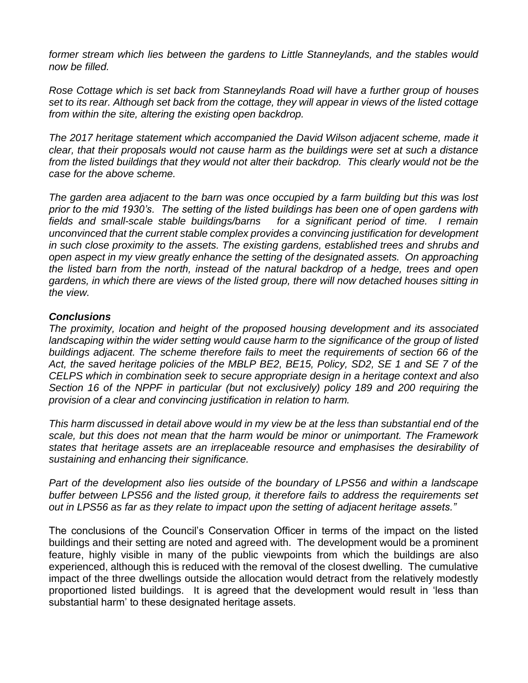*former stream which lies between the gardens to Little Stanneylands, and the stables would now be filled.* 

*Rose Cottage which is set back from Stanneylands Road will have a further group of houses set to its rear. Although set back from the cottage, they will appear in views of the listed cottage from within the site, altering the existing open backdrop.* 

*The 2017 heritage statement which accompanied the David Wilson adjacent scheme, made it clear, that their proposals would not cause harm as the buildings were set at such a distance*  from the listed buildings that they would not alter their backdrop. This clearly would not be the *case for the above scheme.* 

*The garden area adjacent to the barn was once occupied by a farm building but this was lost prior to the mid 1930's. The setting of the listed buildings has been one of open gardens with fields and small-scale stable buildings/barns for a significant period of time. I remain unconvinced that the current stable complex provides a convincing justification for development in such close proximity to the assets. The existing gardens, established trees and shrubs and open aspect in my view greatly enhance the setting of the designated assets. On approaching the listed barn from the north, instead of the natural backdrop of a hedge, trees and open gardens, in which there are views of the listed group, there will now detached houses sitting in the view.*

#### *Conclusions*

*The proximity, location and height of the proposed housing development and its associated*  landscaping within the wider setting would cause harm to the significance of the group of listed *buildings adjacent. The scheme therefore fails to meet the requirements of section 66 of the Act, the saved heritage policies of the MBLP BE2, BE15, Policy, SD2, SE 1 and SE 7 of the CELPS which in combination seek to secure appropriate design in a heritage context and also Section 16 of the NPPF in particular (but not exclusively) policy 189 and 200 requiring the provision of a clear and convincing justification in relation to harm.* 

*This harm discussed in detail above would in my view be at the less than substantial end of the scale, but this does not mean that the harm would be minor or unimportant. The Framework states that heritage assets are an irreplaceable resource and emphasises the desirability of sustaining and enhancing their significance.*

*Part of the development also lies outside of the boundary of LPS56 and within a landscape buffer between LPS56 and the listed group, it therefore fails to address the requirements set out in LPS56 as far as they relate to impact upon the setting of adjacent heritage assets."*

The conclusions of the Council's Conservation Officer in terms of the impact on the listed buildings and their setting are noted and agreed with. The development would be a prominent feature, highly visible in many of the public viewpoints from which the buildings are also experienced, although this is reduced with the removal of the closest dwelling. The cumulative impact of the three dwellings outside the allocation would detract from the relatively modestly proportioned listed buildings. It is agreed that the development would result in 'less than substantial harm' to these designated heritage assets.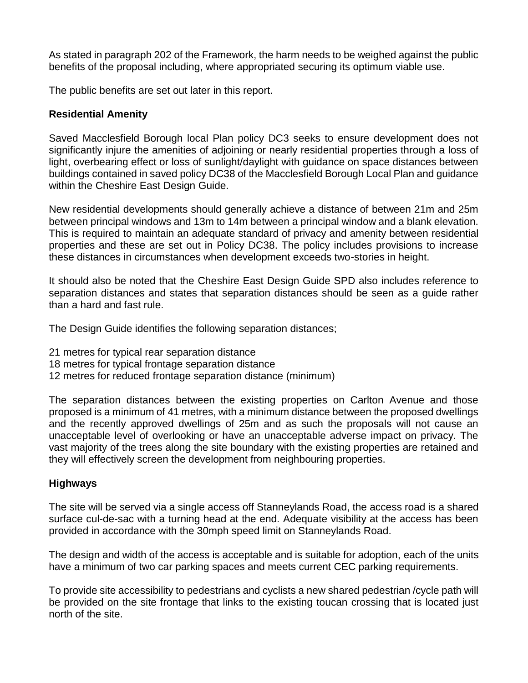As stated in paragraph 202 of the Framework, the harm needs to be weighed against the public benefits of the proposal including, where appropriated securing its optimum viable use.

The public benefits are set out later in this report.

## **Residential Amenity**

Saved Macclesfield Borough local Plan policy DC3 seeks to ensure development does not significantly injure the amenities of adjoining or nearly residential properties through a loss of light, overbearing effect or loss of sunlight/daylight with guidance on space distances between buildings contained in saved policy DC38 of the Macclesfield Borough Local Plan and guidance within the Cheshire East Design Guide.

New residential developments should generally achieve a distance of between 21m and 25m between principal windows and 13m to 14m between a principal window and a blank elevation. This is required to maintain an adequate standard of privacy and amenity between residential properties and these are set out in Policy DC38. The policy includes provisions to increase these distances in circumstances when development exceeds two-stories in height.

It should also be noted that the Cheshire East Design Guide SPD also includes reference to separation distances and states that separation distances should be seen as a guide rather than a hard and fast rule.

The Design Guide identifies the following separation distances;

- 21 metres for typical rear separation distance
- 18 metres for typical frontage separation distance
- 12 metres for reduced frontage separation distance (minimum)

The separation distances between the existing properties on Carlton Avenue and those proposed is a minimum of 41 metres, with a minimum distance between the proposed dwellings and the recently approved dwellings of 25m and as such the proposals will not cause an unacceptable level of overlooking or have an unacceptable adverse impact on privacy. The vast majority of the trees along the site boundary with the existing properties are retained and they will effectively screen the development from neighbouring properties.

## **Highways**

The site will be served via a single access off Stanneylands Road, the access road is a shared surface cul-de-sac with a turning head at the end. Adequate visibility at the access has been provided in accordance with the 30mph speed limit on Stanneylands Road.

The design and width of the access is acceptable and is suitable for adoption, each of the units have a minimum of two car parking spaces and meets current CEC parking requirements.

To provide site accessibility to pedestrians and cyclists a new shared pedestrian /cycle path will be provided on the site frontage that links to the existing toucan crossing that is located just north of the site.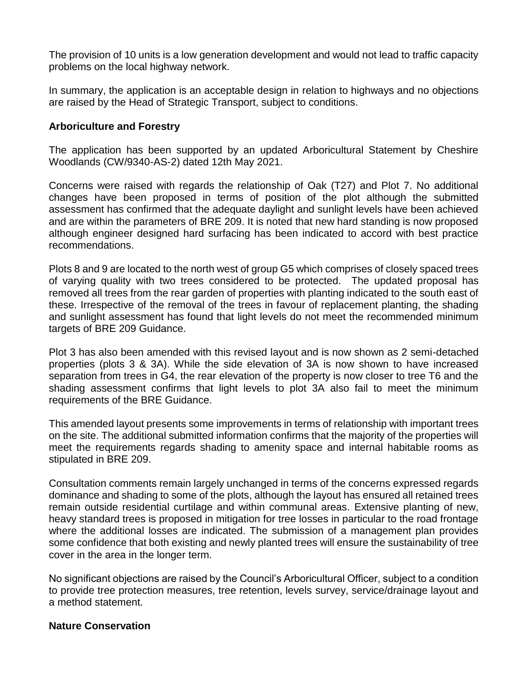The provision of 10 units is a low generation development and would not lead to traffic capacity problems on the local highway network.

In summary, the application is an acceptable design in relation to highways and no objections are raised by the Head of Strategic Transport, subject to conditions.

## **Arboriculture and Forestry**

The application has been supported by an updated Arboricultural Statement by Cheshire Woodlands (CW/9340-AS-2) dated 12th May 2021.

Concerns were raised with regards the relationship of Oak (T27) and Plot 7. No additional changes have been proposed in terms of position of the plot although the submitted assessment has confirmed that the adequate daylight and sunlight levels have been achieved and are within the parameters of BRE 209. It is noted that new hard standing is now proposed although engineer designed hard surfacing has been indicated to accord with best practice recommendations.

Plots 8 and 9 are located to the north west of group G5 which comprises of closely spaced trees of varying quality with two trees considered to be protected. The updated proposal has removed all trees from the rear garden of properties with planting indicated to the south east of these. Irrespective of the removal of the trees in favour of replacement planting, the shading and sunlight assessment has found that light levels do not meet the recommended minimum targets of BRE 209 Guidance.

Plot 3 has also been amended with this revised layout and is now shown as 2 semi-detached properties (plots 3 & 3A). While the side elevation of 3A is now shown to have increased separation from trees in G4, the rear elevation of the property is now closer to tree T6 and the shading assessment confirms that light levels to plot 3A also fail to meet the minimum requirements of the BRE Guidance.

This amended layout presents some improvements in terms of relationship with important trees on the site. The additional submitted information confirms that the majority of the properties will meet the requirements regards shading to amenity space and internal habitable rooms as stipulated in BRE 209.

Consultation comments remain largely unchanged in terms of the concerns expressed regards dominance and shading to some of the plots, although the layout has ensured all retained trees remain outside residential curtilage and within communal areas. Extensive planting of new, heavy standard trees is proposed in mitigation for tree losses in particular to the road frontage where the additional losses are indicated. The submission of a management plan provides some confidence that both existing and newly planted trees will ensure the sustainability of tree cover in the area in the longer term.

No significant objections are raised by the Council's Arboricultural Officer, subject to a condition to provide tree protection measures, tree retention, levels survey, service/drainage layout and a method statement.

## **Nature Conservation**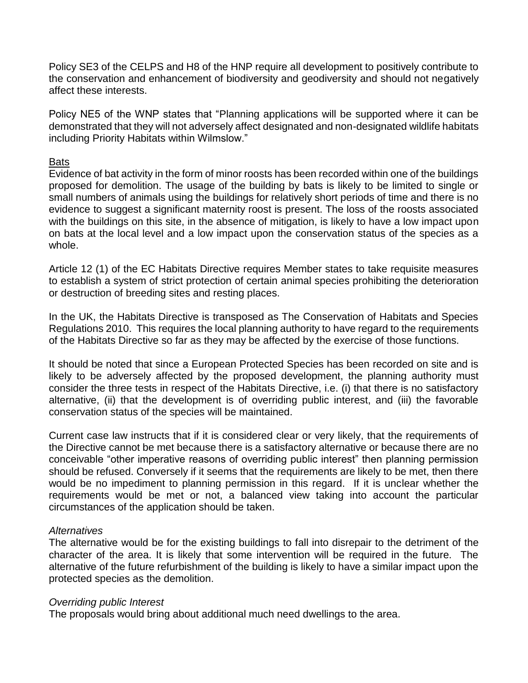Policy SE3 of the CELPS and H8 of the HNP require all development to positively contribute to the conservation and enhancement of biodiversity and geodiversity and should not negatively affect these interests.

Policy NE5 of the WNP states that "Planning applications will be supported where it can be demonstrated that they will not adversely affect designated and non-designated wildlife habitats including Priority Habitats within Wilmslow."

#### Bats

Evidence of bat activity in the form of minor roosts has been recorded within one of the buildings proposed for demolition. The usage of the building by bats is likely to be limited to single or small numbers of animals using the buildings for relatively short periods of time and there is no evidence to suggest a significant maternity roost is present. The loss of the roosts associated with the buildings on this site, in the absence of mitigation, is likely to have a low impact upon on bats at the local level and a low impact upon the conservation status of the species as a whole.

Article 12 (1) of the EC Habitats Directive requires Member states to take requisite measures to establish a system of strict protection of certain animal species prohibiting the deterioration or destruction of breeding sites and resting places.

In the UK, the Habitats Directive is transposed as The Conservation of Habitats and Species Regulations 2010. This requires the local planning authority to have regard to the requirements of the Habitats Directive so far as they may be affected by the exercise of those functions.

It should be noted that since a European Protected Species has been recorded on site and is likely to be adversely affected by the proposed development, the planning authority must consider the three tests in respect of the Habitats Directive, i.e. (i) that there is no satisfactory alternative, (ii) that the development is of overriding public interest, and (iii) the favorable conservation status of the species will be maintained.

Current case law instructs that if it is considered clear or very likely, that the requirements of the Directive cannot be met because there is a satisfactory alternative or because there are no conceivable "other imperative reasons of overriding public interest" then planning permission should be refused. Conversely if it seems that the requirements are likely to be met, then there would be no impediment to planning permission in this regard. If it is unclear whether the requirements would be met or not, a balanced view taking into account the particular circumstances of the application should be taken.

#### *Alternatives*

The alternative would be for the existing buildings to fall into disrepair to the detriment of the character of the area. It is likely that some intervention will be required in the future. The alternative of the future refurbishment of the building is likely to have a similar impact upon the protected species as the demolition.

#### *Overriding public Interest*

The proposals would bring about additional much need dwellings to the area.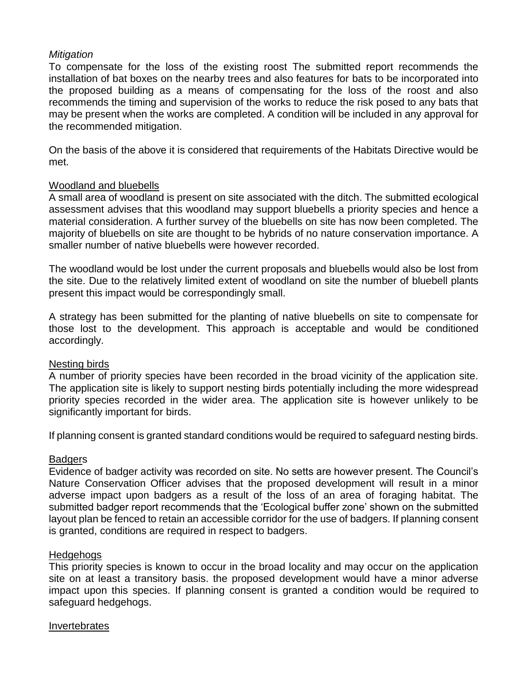## *Mitigation*

To compensate for the loss of the existing roost The submitted report recommends the installation of bat boxes on the nearby trees and also features for bats to be incorporated into the proposed building as a means of compensating for the loss of the roost and also recommends the timing and supervision of the works to reduce the risk posed to any bats that may be present when the works are completed. A condition will be included in any approval for the recommended mitigation.

On the basis of the above it is considered that requirements of the Habitats Directive would be met.

## Woodland and bluebells

A small area of woodland is present on site associated with the ditch. The submitted ecological assessment advises that this woodland may support bluebells a priority species and hence a material consideration. A further survey of the bluebells on site has now been completed. The majority of bluebells on site are thought to be hybrids of no nature conservation importance. A smaller number of native bluebells were however recorded.

The woodland would be lost under the current proposals and bluebells would also be lost from the site. Due to the relatively limited extent of woodland on site the number of bluebell plants present this impact would be correspondingly small.

A strategy has been submitted for the planting of native bluebells on site to compensate for those lost to the development. This approach is acceptable and would be conditioned accordingly.

## Nesting birds

A number of priority species have been recorded in the broad vicinity of the application site. The application site is likely to support nesting birds potentially including the more widespread priority species recorded in the wider area. The application site is however unlikely to be significantly important for birds.

If planning consent is granted standard conditions would be required to safeguard nesting birds.

## **Badgers**

Evidence of badger activity was recorded on site. No setts are however present. The Council's Nature Conservation Officer advises that the proposed development will result in a minor adverse impact upon badgers as a result of the loss of an area of foraging habitat. The submitted badger report recommends that the 'Ecological buffer zone' shown on the submitted layout plan be fenced to retain an accessible corridor for the use of badgers. If planning consent is granted, conditions are required in respect to badgers.

## Hedgehogs

This priority species is known to occur in the broad locality and may occur on the application site on at least a transitory basis. the proposed development would have a minor adverse impact upon this species. If planning consent is granted a condition would be required to safeguard hedgehogs.

## Invertebrates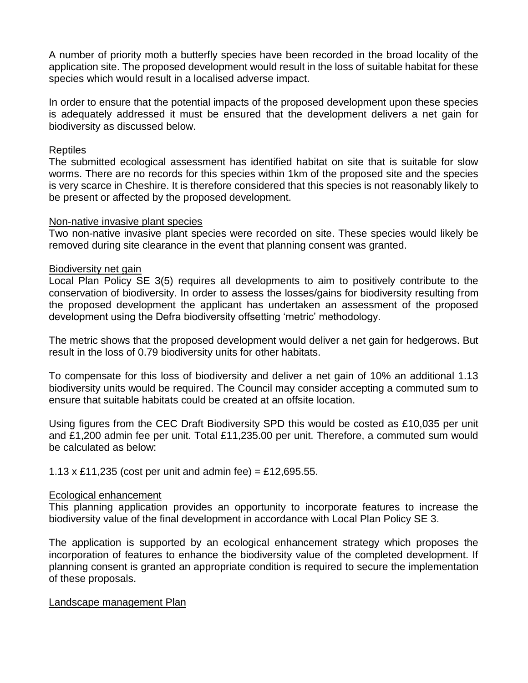A number of priority moth a butterfly species have been recorded in the broad locality of the application site. The proposed development would result in the loss of suitable habitat for these species which would result in a localised adverse impact.

In order to ensure that the potential impacts of the proposed development upon these species is adequately addressed it must be ensured that the development delivers a net gain for biodiversity as discussed below.

#### Reptiles

The submitted ecological assessment has identified habitat on site that is suitable for slow worms. There are no records for this species within 1km of the proposed site and the species is very scarce in Cheshire. It is therefore considered that this species is not reasonably likely to be present or affected by the proposed development.

#### Non-native invasive plant species

Two non-native invasive plant species were recorded on site. These species would likely be removed during site clearance in the event that planning consent was granted.

#### Biodiversity net gain

Local Plan Policy SE 3(5) requires all developments to aim to positively contribute to the conservation of biodiversity. In order to assess the losses/gains for biodiversity resulting from the proposed development the applicant has undertaken an assessment of the proposed development using the Defra biodiversity offsetting 'metric' methodology.

The metric shows that the proposed development would deliver a net gain for hedgerows. But result in the loss of 0.79 biodiversity units for other habitats.

To compensate for this loss of biodiversity and deliver a net gain of 10% an additional 1.13 biodiversity units would be required. The Council may consider accepting a commuted sum to ensure that suitable habitats could be created at an offsite location.

Using figures from the CEC Draft Biodiversity SPD this would be costed as £10,035 per unit and £1,200 admin fee per unit. Total £11,235.00 per unit. Therefore, a commuted sum would be calculated as below:

#### 1.13 x £11,235 (cost per unit and admin fee) = £12,695.55.

#### Ecological enhancement

This planning application provides an opportunity to incorporate features to increase the biodiversity value of the final development in accordance with Local Plan Policy SE 3.

The application is supported by an ecological enhancement strategy which proposes the incorporation of features to enhance the biodiversity value of the completed development. If planning consent is granted an appropriate condition is required to secure the implementation of these proposals.

#### Landscape management Plan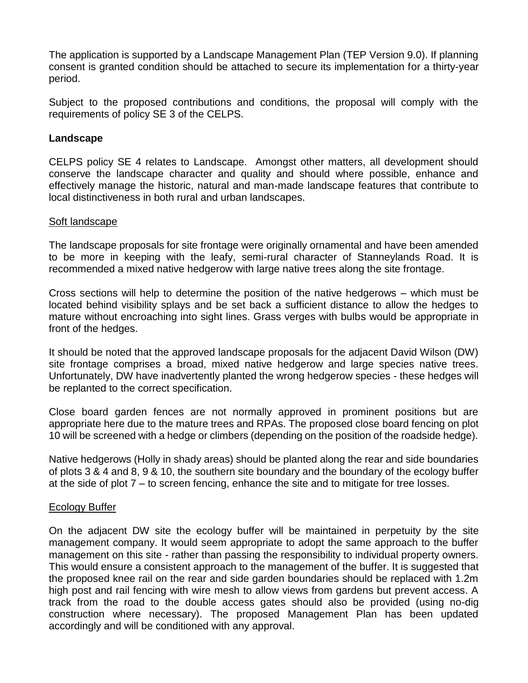The application is supported by a Landscape Management Plan (TEP Version 9.0). If planning consent is granted condition should be attached to secure its implementation for a thirty-year period.

Subject to the proposed contributions and conditions, the proposal will comply with the requirements of policy SE 3 of the CELPS.

### **Landscape**

CELPS policy SE 4 relates to Landscape. Amongst other matters, all development should conserve the landscape character and quality and should where possible, enhance and effectively manage the historic, natural and man-made landscape features that contribute to local distinctiveness in both rural and urban landscapes.

#### Soft landscape

The landscape proposals for site frontage were originally ornamental and have been amended to be more in keeping with the leafy, semi-rural character of Stanneylands Road. It is recommended a mixed native hedgerow with large native trees along the site frontage.

Cross sections will help to determine the position of the native hedgerows – which must be located behind visibility splays and be set back a sufficient distance to allow the hedges to mature without encroaching into sight lines. Grass verges with bulbs would be appropriate in front of the hedges.

It should be noted that the approved landscape proposals for the adjacent David Wilson (DW) site frontage comprises a broad, mixed native hedgerow and large species native trees. Unfortunately, DW have inadvertently planted the wrong hedgerow species - these hedges will be replanted to the correct specification.

Close board garden fences are not normally approved in prominent positions but are appropriate here due to the mature trees and RPAs. The proposed close board fencing on plot 10 will be screened with a hedge or climbers (depending on the position of the roadside hedge).

Native hedgerows (Holly in shady areas) should be planted along the rear and side boundaries of plots 3 & 4 and 8, 9 & 10, the southern site boundary and the boundary of the ecology buffer at the side of plot 7 – to screen fencing, enhance the site and to mitigate for tree losses.

#### Ecology Buffer

On the adjacent DW site the ecology buffer will be maintained in perpetuity by the site management company. It would seem appropriate to adopt the same approach to the buffer management on this site - rather than passing the responsibility to individual property owners. This would ensure a consistent approach to the management of the buffer. It is suggested that the proposed knee rail on the rear and side garden boundaries should be replaced with 1.2m high post and rail fencing with wire mesh to allow views from gardens but prevent access. A track from the road to the double access gates should also be provided (using no-dig construction where necessary). The proposed Management Plan has been updated accordingly and will be conditioned with any approval.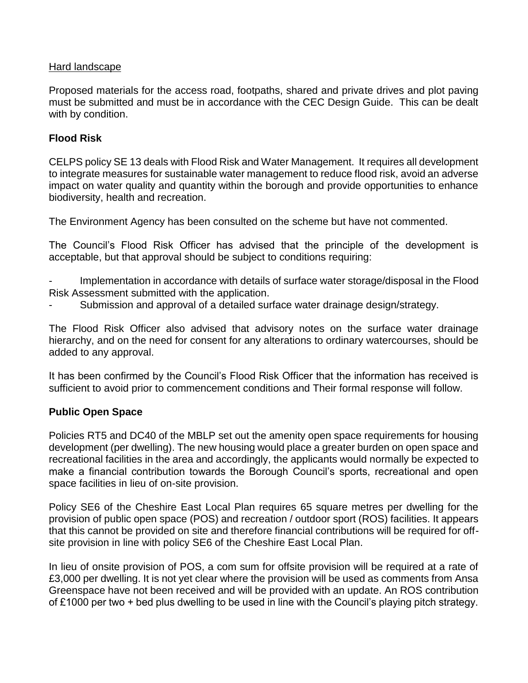## Hard landscape

Proposed materials for the access road, footpaths, shared and private drives and plot paving must be submitted and must be in accordance with the CEC Design Guide. This can be dealt with by condition.

## **Flood Risk**

CELPS policy SE 13 deals with Flood Risk and Water Management. It requires all development to integrate measures for sustainable water management to reduce flood risk, avoid an adverse impact on water quality and quantity within the borough and provide opportunities to enhance biodiversity, health and recreation.

The Environment Agency has been consulted on the scheme but have not commented.

The Council's Flood Risk Officer has advised that the principle of the development is acceptable, but that approval should be subject to conditions requiring:

Implementation in accordance with details of surface water storage/disposal in the Flood Risk Assessment submitted with the application.

Submission and approval of a detailed surface water drainage design/strategy.

The Flood Risk Officer also advised that advisory notes on the surface water drainage hierarchy, and on the need for consent for any alterations to ordinary watercourses, should be added to any approval.

It has been confirmed by the Council's Flood Risk Officer that the information has received is sufficient to avoid prior to commencement conditions and Their formal response will follow.

## **Public Open Space**

Policies RT5 and DC40 of the MBLP set out the amenity open space requirements for housing development (per dwelling). The new housing would place a greater burden on open space and recreational facilities in the area and accordingly, the applicants would normally be expected to make a financial contribution towards the Borough Council's sports, recreational and open space facilities in lieu of on-site provision.

Policy SE6 of the Cheshire East Local Plan requires 65 square metres per dwelling for the provision of public open space (POS) and recreation / outdoor sport (ROS) facilities. It appears that this cannot be provided on site and therefore financial contributions will be required for offsite provision in line with policy SE6 of the Cheshire East Local Plan.

In lieu of onsite provision of POS, a com sum for offsite provision will be required at a rate of £3,000 per dwelling. It is not yet clear where the provision will be used as comments from Ansa Greenspace have not been received and will be provided with an update. An ROS contribution of £1000 per two + bed plus dwelling to be used in line with the Council's playing pitch strategy.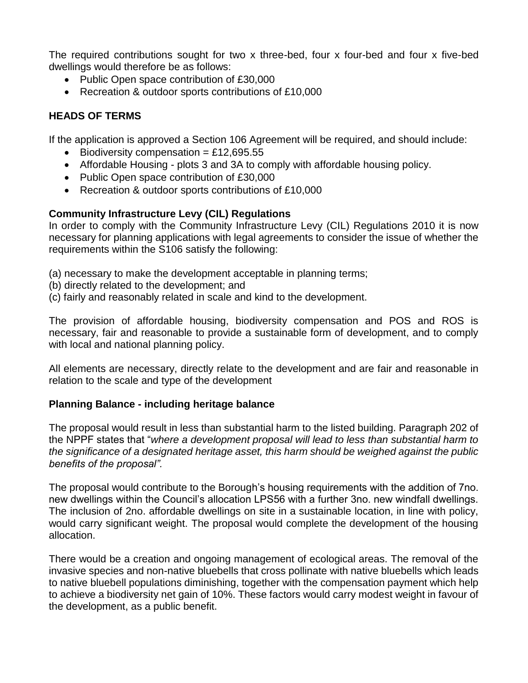The required contributions sought for two x three-bed, four x four-bed and four x five-bed dwellings would therefore be as follows:

- Public Open space contribution of £30,000
- Recreation & outdoor sports contributions of £10,000

## **HEADS OF TERMS**

If the application is approved a Section 106 Agreement will be required, and should include:

- $\bullet$  Biodiversity compensation = £12,695.55
- Affordable Housing plots 3 and 3A to comply with affordable housing policy.
- Public Open space contribution of £30,000
- Recreation & outdoor sports contributions of £10,000

## **Community Infrastructure Levy (CIL) Regulations**

In order to comply with the Community Infrastructure Levy (CIL) Regulations 2010 it is now necessary for planning applications with legal agreements to consider the issue of whether the requirements within the S106 satisfy the following:

- (a) necessary to make the development acceptable in planning terms;
- (b) directly related to the development; and
- (c) fairly and reasonably related in scale and kind to the development.

The provision of affordable housing, biodiversity compensation and POS and ROS is necessary, fair and reasonable to provide a sustainable form of development, and to comply with local and national planning policy.

All elements are necessary, directly relate to the development and are fair and reasonable in relation to the scale and type of the development

## **Planning Balance - including heritage balance**

The proposal would result in less than substantial harm to the listed building. Paragraph 202 of the NPPF states that "*where a development proposal will lead to less than substantial harm to the significance of a designated heritage asset, this harm should be weighed against the public benefits of the proposal".*

The proposal would contribute to the Borough's housing requirements with the addition of 7no. new dwellings within the Council's allocation LPS56 with a further 3no. new windfall dwellings. The inclusion of 2no. affordable dwellings on site in a sustainable location, in line with policy, would carry significant weight. The proposal would complete the development of the housing allocation.

There would be a creation and ongoing management of ecological areas. The removal of the invasive species and non-native bluebells that cross pollinate with native bluebells which leads to native bluebell populations diminishing, together with the compensation payment which help to achieve a biodiversity net gain of 10%. These factors would carry modest weight in favour of the development, as a public benefit.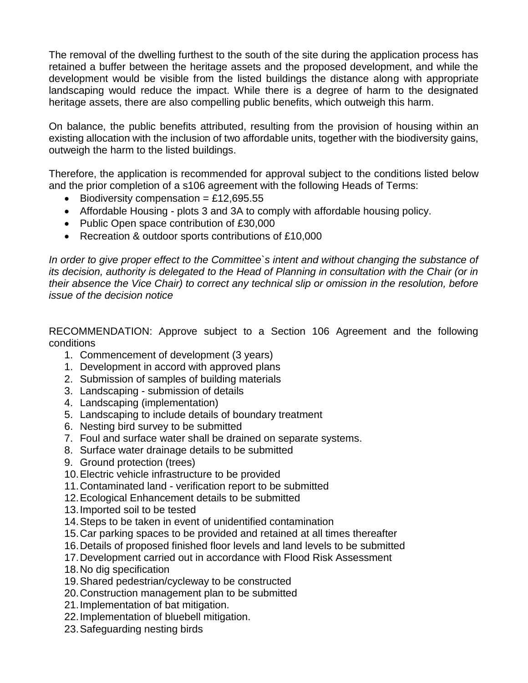The removal of the dwelling furthest to the south of the site during the application process has retained a buffer between the heritage assets and the proposed development, and while the development would be visible from the listed buildings the distance along with appropriate landscaping would reduce the impact. While there is a degree of harm to the designated heritage assets, there are also compelling public benefits, which outweigh this harm.

On balance, the public benefits attributed, resulting from the provision of housing within an existing allocation with the inclusion of two affordable units, together with the biodiversity gains, outweigh the harm to the listed buildings.

Therefore, the application is recommended for approval subject to the conditions listed below and the prior completion of a s106 agreement with the following Heads of Terms:

- $\bullet$  Biodiversity compensation = £12,695.55
- Affordable Housing plots 3 and 3A to comply with affordable housing policy.
- Public Open space contribution of £30,000
- Recreation & outdoor sports contributions of £10,000

*In order to give proper effect to the Committee`s intent and without changing the substance of its decision, authority is delegated to the Head of Planning in consultation with the Chair (or in their absence the Vice Chair) to correct any technical slip or omission in the resolution, before issue of the decision notice*

RECOMMENDATION: Approve subject to a Section 106 Agreement and the following conditions

- 1. Commencement of development (3 years)
- 1. Development in accord with approved plans
- 2. Submission of samples of building materials
- 3. Landscaping submission of details
- 4. Landscaping (implementation)
- 5. Landscaping to include details of boundary treatment
- 6. Nesting bird survey to be submitted
- 7. Foul and surface water shall be drained on separate systems.
- 8. Surface water drainage details to be submitted
- 9. Ground protection (trees)
- 10.Electric vehicle infrastructure to be provided
- 11.Contaminated land verification report to be submitted
- 12.Ecological Enhancement details to be submitted
- 13.Imported soil to be tested
- 14.Steps to be taken in event of unidentified contamination
- 15.Car parking spaces to be provided and retained at all times thereafter
- 16.Details of proposed finished floor levels and land levels to be submitted
- 17.Development carried out in accordance with Flood Risk Assessment
- 18.No dig specification
- 19.Shared pedestrian/cycleway to be constructed
- 20.Construction management plan to be submitted
- 21.Implementation of bat mitigation.
- 22.Implementation of bluebell mitigation.
- 23.Safeguarding nesting birds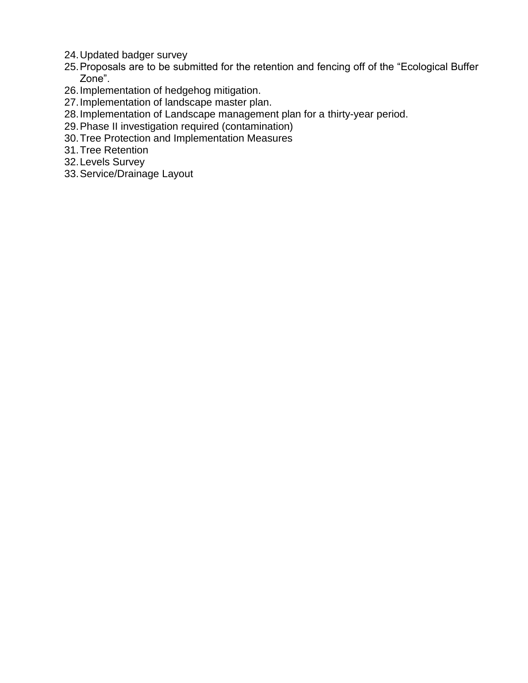- 24.Updated badger survey
- 25.Proposals are to be submitted for the retention and fencing off of the "Ecological Buffer Zone".
- 26.Implementation of hedgehog mitigation.
- 27.Implementation of landscape master plan.
- 28.Implementation of Landscape management plan for a thirty-year period.
- 29.Phase II investigation required (contamination)
- 30.Tree Protection and Implementation Measures
- 31.Tree Retention
- 32.Levels Survey
- 33.Service/Drainage Layout